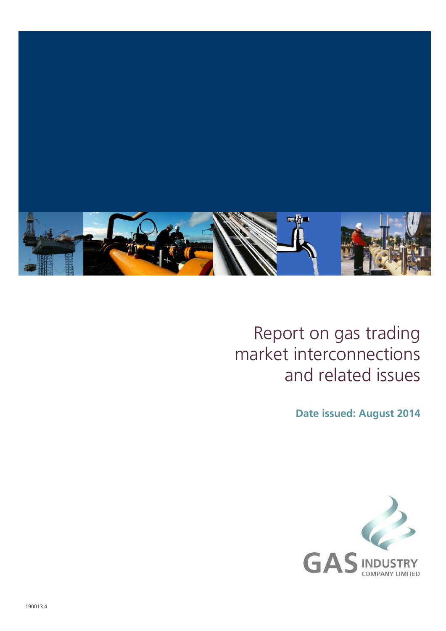

## Report on gas trading market interconnections and related issues

**Date issued: August 2014**

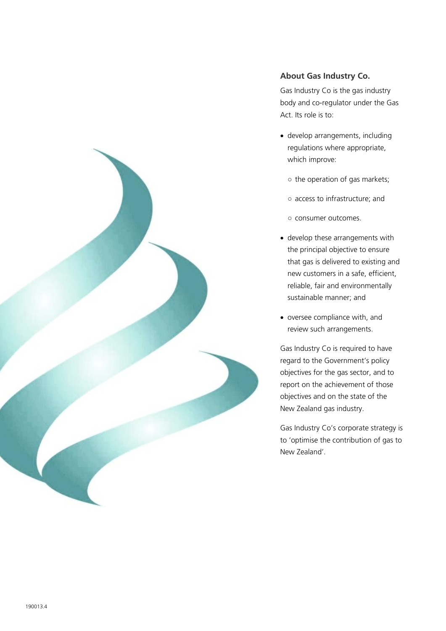

#### **About Gas Industry Co.**

Gas Industry Co is the gas industry body and co-regulator under the Gas Act. Its role is to:

- develop arrangements, including regulations where appropriate, which improve:
	- the operation of gas markets;
	- access to infrastructure; and
	- consumer outcomes.
- develop these arrangements with the principal objective to ensure that gas is delivered to existing and new customers in a safe, efficient, reliable, fair and environmentally sustainable manner; and
- oversee compliance with, and review such arrangements.

Gas Industry Co is required to have regard to the Government's policy objectives for the gas sector, and to report on the achievement of those objectives and on the state of the New Zealand gas industry.

Gas Industry Co's corporate strategy is to 'optimise the contribution of gas to New Zealand'.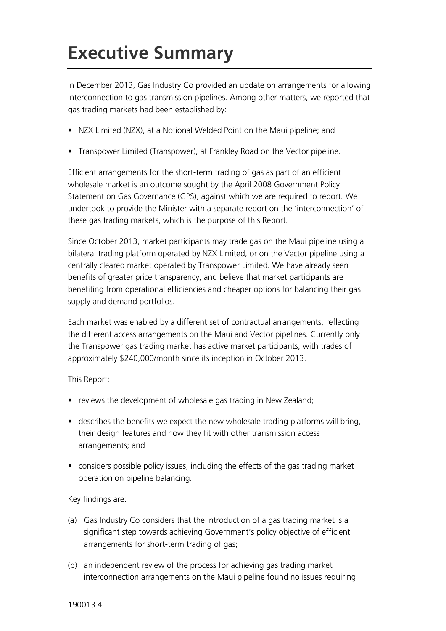# **Executive Summary**

In December 2013, Gas Industry Co provided an update on arrangements for allowing interconnection to gas transmission pipelines. Among other matters, we reported that gas trading markets had been established by:

- NZX Limited (NZX), at a Notional Welded Point on the Maui pipeline; and
- Transpower Limited (Transpower), at Frankley Road on the Vector pipeline.

Efficient arrangements for the short-term trading of gas as part of an efficient wholesale market is an outcome sought by the April 2008 Government Policy Statement on Gas Governance (GPS), against which we are required to report. We undertook to provide the Minister with a separate report on the 'interconnection' of these gas trading markets, which is the purpose of this Report.

Since October 2013, market participants may trade gas on the Maui pipeline using a bilateral trading platform operated by NZX Limited, or on the Vector pipeline using a centrally cleared market operated by Transpower Limited. We have already seen benefits of greater price transparency, and believe that market participants are benefiting from operational efficiencies and cheaper options for balancing their gas supply and demand portfolios.

Each market was enabled by a different set of contractual arrangements, reflecting the different access arrangements on the Maui and Vector pipelines. Currently only the Transpower gas trading market has active market participants, with trades of approximately \$240,000/month since its inception in October 2013.

This Report:

- reviews the development of wholesale gas trading in New Zealand;
- describes the benefits we expect the new wholesale trading platforms will bring, their design features and how they fit with other transmission access arrangements; and
- considers possible policy issues, including the effects of the gas trading market operation on pipeline balancing.

Key findings are:

- (a) Gas Industry Co considers that the introduction of a gas trading market is a significant step towards achieving Government's policy objective of efficient arrangements for short-term trading of gas;
- (b) an independent review of the process for achieving gas trading market interconnection arrangements on the Maui pipeline found no issues requiring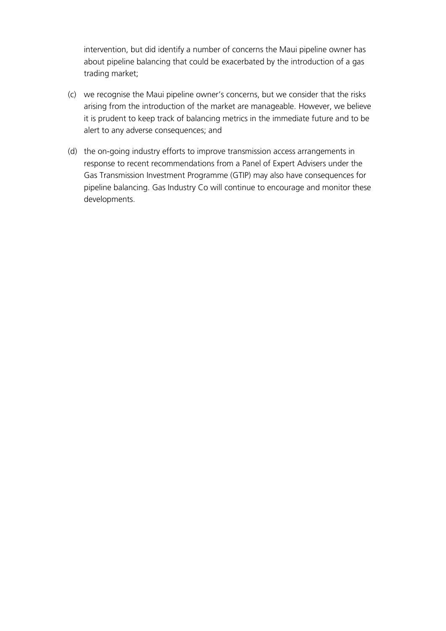intervention, but did identify a number of concerns the Maui pipeline owner has about pipeline balancing that could be exacerbated by the introduction of a gas trading market;

- (c) we recognise the Maui pipeline owner's concerns, but we consider that the risks arising from the introduction of the market are manageable. However, we believe it is prudent to keep track of balancing metrics in the immediate future and to be alert to any adverse consequences; and
- (d) the on-going industry efforts to improve transmission access arrangements in response to recent recommendations from a Panel of Expert Advisers under the Gas Transmission Investment Programme (GTIP) may also have consequences for pipeline balancing. Gas Industry Co will continue to encourage and monitor these developments.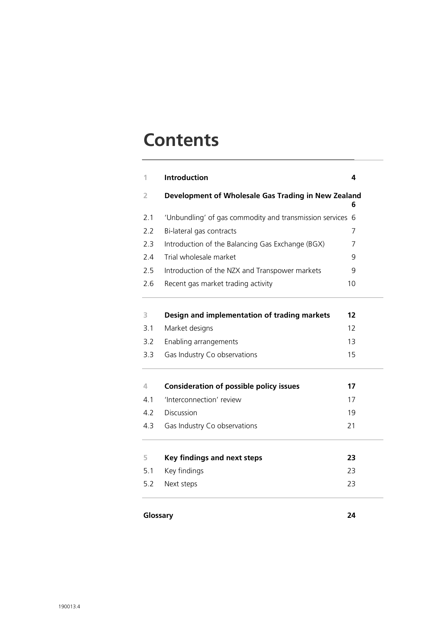### **Contents**

| 1   | Introduction                                            | 4  |
|-----|---------------------------------------------------------|----|
| 2   | Development of Wholesale Gas Trading in New Zealand     | 6  |
| 2.1 | 'Unbundling' of gas commodity and transmission services | 6  |
| 2.2 | Bi-lateral gas contracts                                | 7  |
| 2.3 | Introduction of the Balancing Gas Exchange (BGX)        | 7  |
| 2.4 | Trial wholesale market                                  | 9  |
| 2.5 | Introduction of the NZX and Transpower markets          | 9  |
| 2.6 | Recent gas market trading activity                      | 10 |
| 3   | Design and implementation of trading markets            | 12 |
| 3.1 | Market designs                                          | 12 |
| 3.2 | Enabling arrangements                                   | 13 |
| 3.3 | Gas Industry Co observations                            | 15 |
| 4   | <b>Consideration of possible policy issues</b>          | 17 |
| 4.1 | 'Interconnection' review                                | 17 |
| 4.2 | Discussion                                              | 19 |
| 4.3 | Gas Industry Co observations                            | 21 |
| 5   | <b>Key findings and next steps</b>                      | 23 |
| 5.1 | Key findings                                            | 23 |
| 5.2 | Next steps                                              | 23 |

#### **Glossary 24**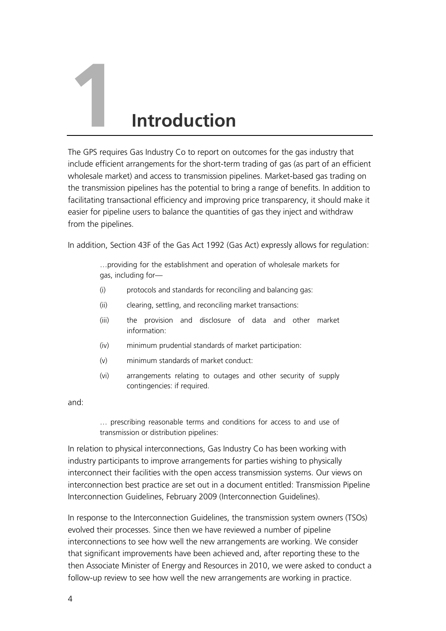# **1 Introduction**

The GPS requires Gas Industry Co to report on outcomes for the gas industry that include efficient arrangements for the short-term trading of gas (as part of an efficient wholesale market) and access to transmission pipelines. Market-based gas trading on the transmission pipelines has the potential to bring a range of benefits. In addition to facilitating transactional efficiency and improving price transparency, it should make it easier for pipeline users to balance the quantities of gas they inject and withdraw from the pipelines.

In addition, Section 43F of the Gas Act 1992 (Gas Act) expressly allows for regulation:

…providing for the establishment and operation of wholesale markets for gas, including for—

- (i) protocols and standards for reconciling and balancing gas:
- (ii) clearing, settling, and reconciling market transactions:
- (iii) the provision and disclosure of data and other market information:
- (iv) minimum prudential standards of market participation:
- (v) minimum standards of market conduct:
- (vi) arrangements relating to outages and other security of supply contingencies: if required.

and:

… prescribing reasonable terms and conditions for access to and use of transmission or distribution pipelines:

In relation to physical interconnections, Gas Industry Co has been working with industry participants to improve arrangements for parties wishing to physically interconnect their facilities with the open access transmission systems. Our views on interconnection best practice are set out in a document entitled: Transmission Pipeline Interconnection Guidelines, February 2009 (Interconnection Guidelines).

In response to the Interconnection Guidelines, the transmission system owners (TSOs) evolved their processes. Since then we have reviewed a number of pipeline interconnections to see how well the new arrangements are working. We consider that significant improvements have been achieved and, after reporting these to the then Associate Minister of Energy and Resources in 2010, we were asked to conduct a follow-up review to see how well the new arrangements are working in practice.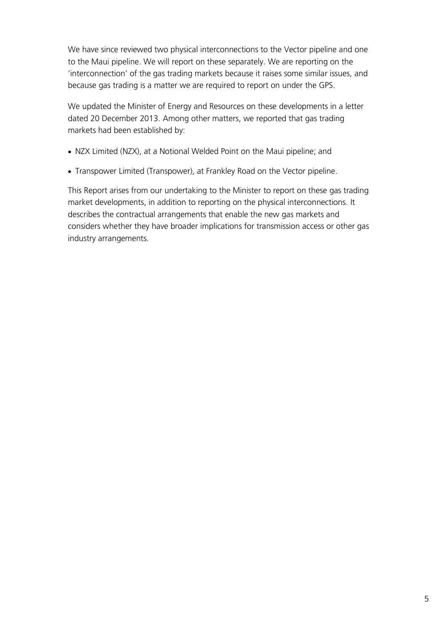We have since reviewed two physical interconnections to the Vector pipeline and one to the Maui pipeline. We will report on these separately. We are reporting on the 'interconnection' of the gas trading markets because it raises some similar issues, and because gas trading is a matter we are required to report on under the GPS.

We updated the Minister of Energy and Resources on these developments in a letter dated 20 December 2013. Among other matters, we reported that gas trading markets had been established by:

- NZX Limited (NZX), at a Notional Welded Point on the Maui pipeline; and
- Transpower Limited (Transpower), at Frankley Road on the Vector pipeline.

This Report arises from our undertaking to the Minister to report on these gas trading market developments, in addition to reporting on the physical interconnections. It describes the contractual arrangements that enable the new gas markets and considers whether they have broader implications for transmission access or other gas industry arrangements.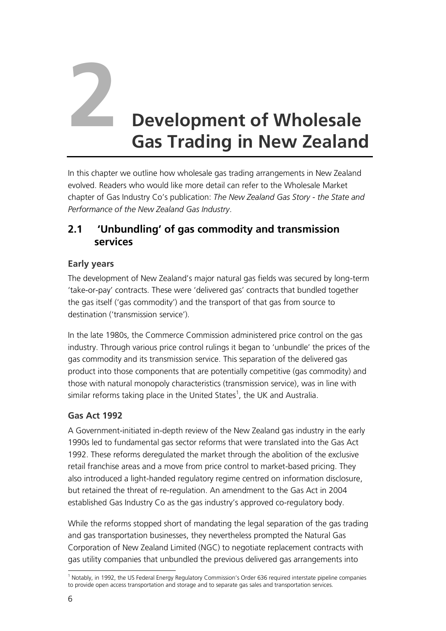

# **2 Development of Wholesale Gas Trading in New Zealand**

In this chapter we outline how wholesale gas trading arrangements in New Zealand evolved. Readers who would like more detail can refer to the Wholesale Market chapter of Gas Industry Co's publication: *The New Zealand Gas Story - the State and Performance of the New Zealand Gas Industry*.

#### **2.1 'Unbundling' of gas commodity and transmission services**

#### **Early years**

The development of New Zealand's major natural gas fields was secured by long-term 'take-or-pay' contracts. These were 'delivered gas' contracts that bundled together the gas itself ('gas commodity') and the transport of that gas from source to destination ('transmission service').

In the late 1980s, the Commerce Commission administered price control on the gas industry. Through various price control rulings it began to 'unbundle' the prices of the gas commodity and its transmission service. This separation of the delivered gas product into those components that are potentially competitive (gas commodity) and those with natural monopoly characteristics (transmission service), was in line with similar reforms taking place in the United States<sup>1</sup>, the UK and Australia.

#### **Gas Act 1992**

A Government-initiated in-depth review of the New Zealand gas industry in the early 1990s led to fundamental gas sector reforms that were translated into the Gas Act 1992. These reforms deregulated the market through the abolition of the exclusive retail franchise areas and a move from price control to market-based pricing. They also introduced a light-handed regulatory regime centred on information disclosure, but retained the threat of re-regulation. An amendment to the Gas Act in 2004 established Gas Industry Co as the gas industry's approved co-regulatory body.

While the reforms stopped short of mandating the legal separation of the gas trading and gas transportation businesses, they nevertheless prompted the Natural Gas Corporation of New Zealand Limited (NGC) to negotiate replacement contracts with gas utility companies that unbundled the previous delivered gas arrangements into

<sup>&</sup>lt;u>.</u> <sup>1</sup> Notably, in 1992, the US Federal Energy Regulatory Commission's Order 636 required interstate pipeline companies to provide open access transportation and storage and to separate gas sales and transportation services.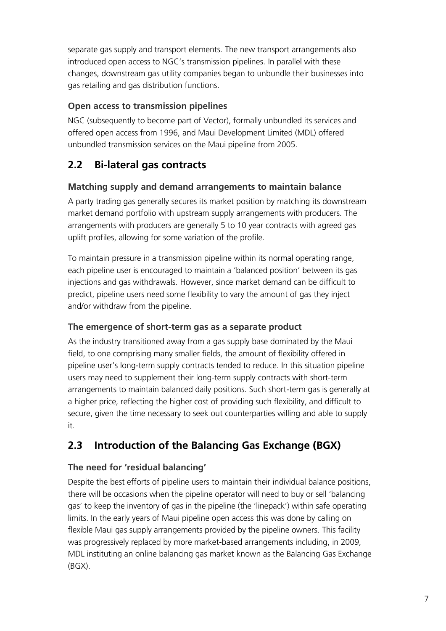separate gas supply and transport elements. The new transport arrangements also introduced open access to NGC's transmission pipelines. In parallel with these changes, downstream gas utility companies began to unbundle their businesses into gas retailing and gas distribution functions.

#### **Open access to transmission pipelines**

NGC (subsequently to become part of Vector), formally unbundled its services and offered open access from 1996, and Maui Development Limited (MDL) offered unbundled transmission services on the Maui pipeline from 2005.

#### **2.2 Bi-lateral gas contracts**

#### **Matching supply and demand arrangements to maintain balance**

A party trading gas generally secures its market position by matching its downstream market demand portfolio with upstream supply arrangements with producers. The arrangements with producers are generally 5 to 10 year contracts with agreed gas uplift profiles, allowing for some variation of the profile.

To maintain pressure in a transmission pipeline within its normal operating range, each pipeline user is encouraged to maintain a 'balanced position' between its gas injections and gas withdrawals. However, since market demand can be difficult to predict, pipeline users need some flexibility to vary the amount of gas they inject and/or withdraw from the pipeline.

#### **The emergence of short-term gas as a separate product**

As the industry transitioned away from a gas supply base dominated by the Maui field, to one comprising many smaller fields, the amount of flexibility offered in pipeline user's long-term supply contracts tended to reduce. In this situation pipeline users may need to supplement their long-term supply contracts with short-term arrangements to maintain balanced daily positions. Such short-term gas is generally at a higher price, reflecting the higher cost of providing such flexibility, and difficult to secure, given the time necessary to seek out counterparties willing and able to supply it.

#### <span id="page-10-0"></span>**2.3 Introduction of the Balancing Gas Exchange (BGX)**

#### **The need for 'residual balancing'**

Despite the best efforts of pipeline users to maintain their individual balance positions, there will be occasions when the pipeline operator will need to buy or sell 'balancing gas' to keep the inventory of gas in the pipeline (the 'linepack') within safe operating limits. In the early years of Maui pipeline open access this was done by calling on flexible Maui gas supply arrangements provided by the pipeline owners. This facility was progressively replaced by more market-based arrangements including, in 2009, MDL instituting an online balancing gas market known as the Balancing Gas Exchange (BGX).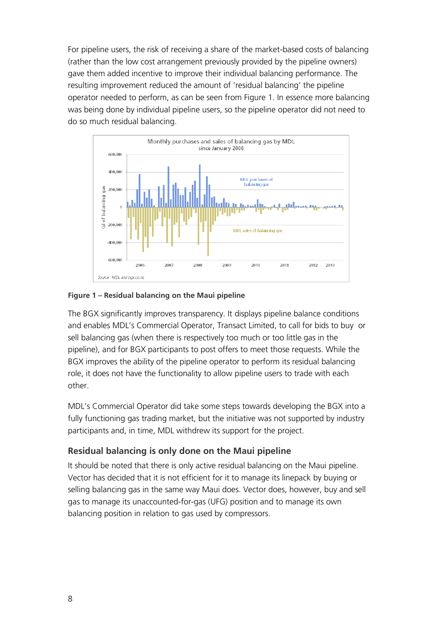For pipeline users, the risk of receiving a share of the market-based costs of balancing (rather than the low cost arrangement previously provided by the pipeline owners) gave them added incentive to improve their individual balancing performance. The resulting improvement reduced the amount of 'residual balancing' the pipeline operator needed to perform, as can be seen from [Figure 1.](#page-11-0) In essence more balancing was being done by individual pipeline users, so the pipeline operator did not need to do so much residual balancing.



#### <span id="page-11-0"></span>**Figure 1 – Residual balancing on the Maui pipeline**

The BGX significantly improves transparency. It displays pipeline balance conditions and enables MDL's Commercial Operator, Transact Limited, to call for bids to buy or sell balancing gas (when there is respectively too much or too little gas in the pipeline), and for BGX participants to post offers to meet those requests. While the BGX improves the ability of the pipeline operator to perform its residual balancing role, it does not have the functionality to allow pipeline users to trade with each other.

MDL's Commercial Operator did take some steps towards developing the BGX into a fully functioning gas trading market, but the initiative was not supported by industry participants and, in time, MDL withdrew its support for the project.

#### **Residual balancing is only done on the Maui pipeline**

It should be noted that there is only active residual balancing on the Maui pipeline. Vector has decided that it is not efficient for it to manage its linepack by buying or selling balancing gas in the same way Maui does. Vector does, however, buy and sell gas to manage its unaccounted-for-gas (UFG) position and to manage its own balancing position in relation to gas used by compressors.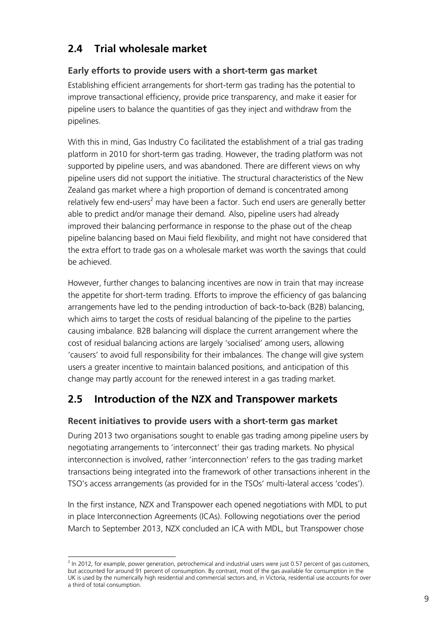#### **2.4 Trial wholesale market**

#### **Early efforts to provide users with a short-term gas market**

Establishing efficient arrangements for short-term gas trading has the potential to improve transactional efficiency, provide price transparency, and make it easier for pipeline users to balance the quantities of gas they inject and withdraw from the pipelines.

With this in mind, Gas Industry Co facilitated the establishment of a trial gas trading platform in 2010 for short-term gas trading. However, the trading platform was not supported by pipeline users, and was abandoned. There are different views on why pipeline users did not support the initiative. The structural characteristics of the New Zealand gas market where a high proportion of demand is concentrated among relatively few end-users<sup>2</sup> may have been a factor. Such end users are generally better able to predict and/or manage their demand. Also, pipeline users had already improved their balancing performance in response to the phase out of the cheap pipeline balancing based on Maui field flexibility, and might not have considered that the extra effort to trade gas on a wholesale market was worth the savings that could be achieved.

However, further changes to balancing incentives are now in train that may increase the appetite for short-term trading. Efforts to improve the efficiency of gas balancing arrangements have led to the pending introduction of back-to-back (B2B) balancing, which aims to target the costs of residual balancing of the pipeline to the parties causing imbalance. B2B balancing will displace the current arrangement where the cost of residual balancing actions are largely 'socialised' among users, allowing 'causers' to avoid full responsibility for their imbalances. The change will give system users a greater incentive to maintain balanced positions, and anticipation of this change may partly account for the renewed interest in a gas trading market.

#### **2.5 Introduction of the NZX and Transpower markets**

#### **Recent initiatives to provide users with a short-term gas market**

During 2013 two organisations sought to enable gas trading among pipeline users by negotiating arrangements to 'interconnect' their gas trading markets. No physical interconnection is involved, rather 'interconnection' refers to the gas trading market transactions being integrated into the framework of other transactions inherent in the TSO's access arrangements (as provided for in the TSOs' multi-lateral access 'codes').

In the first instance, NZX and Transpower each opened negotiations with MDL to put in place Interconnection Agreements (ICAs). Following negotiations over the period March to September 2013, NZX concluded an ICA with MDL, but Transpower chose

 2 In 2012, for example, power generation, petrochemical and industrial users were just 0.57 percent of gas customers, but accounted for around 91 percent of consumption. By contrast, most of the gas available for consumption in the UK is used by the numerically high residential and commercial sectors and, in Victoria, residential use accounts for over a third of total consumption.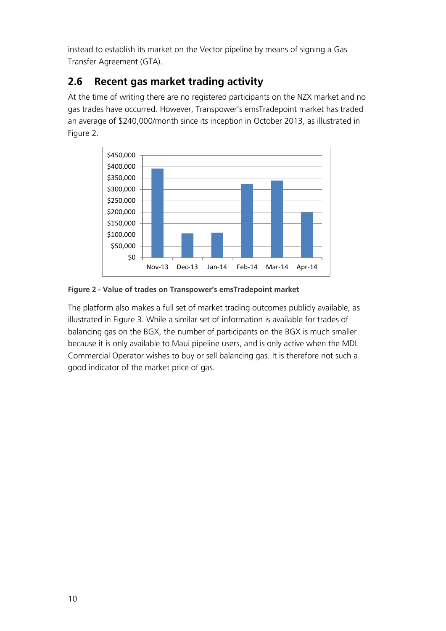instead to establish its market on the Vector pipeline by means of signing a Gas Transfer Agreement (GTA).

#### **2.6 Recent gas market trading activity**

At the time of writing there are no registered participants on the NZX market and no gas trades have occurred. However, Transpower's emsTradepoint market has traded an average of \$240,000/month since its inception in October 2013, as illustrated in [Figure 2.](#page-13-0)



<span id="page-13-0"></span>**Figure 2 - Value of trades on Transpower's emsTradepoint market**

The platform also makes a full set of market trading outcomes publicly available, as illustrated in [Figure 3.](#page-14-0) While a similar set of information is available for trades of balancing gas on the BGX, the number of participants on the BGX is much smaller because it is only available to Maui pipeline users, and is only active when the MDL Commercial Operator wishes to buy or sell balancing gas. It is therefore not such a good indicator of the market price of gas.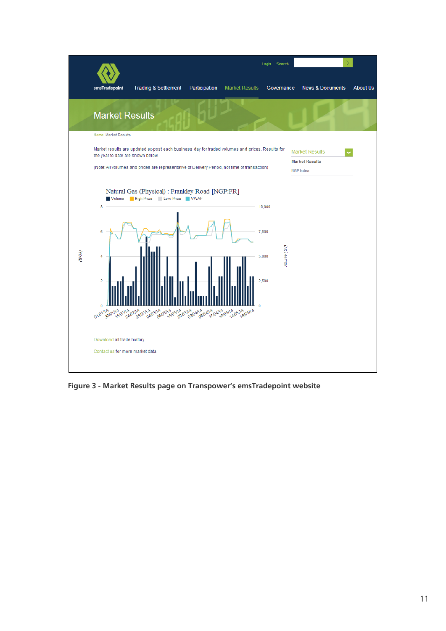

<span id="page-14-0"></span>**Figure 3 - Market Results page on Transpower's emsTradepoint website**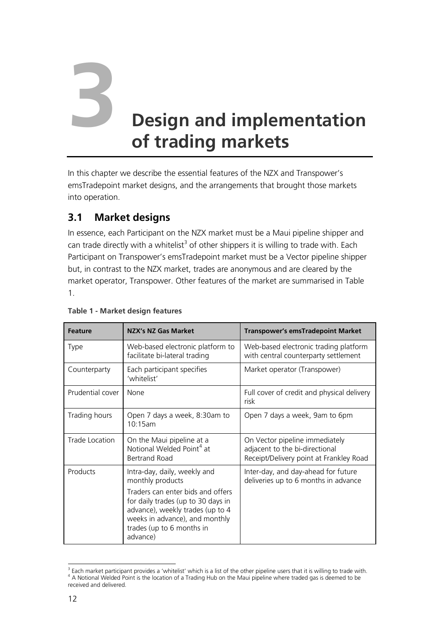# **3 Design and implementation of trading markets**

In this chapter we describe the essential features of the NZX and Transpower's emsTradepoint market designs, and the arrangements that brought those markets into operation.

#### **3.1 Market designs**

In essence, each Participant on the NZX market must be a Maui pipeline shipper and can trade directly with a whitelist<sup>3</sup> of other shippers it is willing to trade with. Each Participant on Transpower's emsTradepoint market must be a Vector pipeline shipper but, in contrast to the NZX market, trades are anonymous and are cleared by the market operator, Transpower. Other features of the market are summarised in [Table](#page-15-0)  [1.](#page-15-0)

| <b>Feature</b>   | NZX's NZ Gas Market                                                                                                                                                                                                                        | Transpower's emsTradepoint Market                                                                           |
|------------------|--------------------------------------------------------------------------------------------------------------------------------------------------------------------------------------------------------------------------------------------|-------------------------------------------------------------------------------------------------------------|
| <b>Type</b>      | Web-based electronic platform to<br>facilitate bi-lateral trading                                                                                                                                                                          | Web-based electronic trading platform<br>with central counterparty settlement                               |
| Counterparty     | Each participant specifies<br>'whitelist'                                                                                                                                                                                                  | Market operator (Transpower)                                                                                |
| Prudential cover | <b>None</b>                                                                                                                                                                                                                                | Full cover of credit and physical delivery<br>risk                                                          |
| Trading hours    | Open 7 days a week, 8:30am to<br>10:15am                                                                                                                                                                                                   | Open 7 days a week, 9am to 6pm                                                                              |
| Trade Location   | On the Maui pipeline at a<br>Notional Welded Point <sup>4</sup> at<br><b>Bertrand Road</b>                                                                                                                                                 | On Vector pipeline immediately<br>adjacent to the bi-directional<br>Receipt/Delivery point at Frankley Road |
| Products         | Intra-day, daily, weekly and<br>monthly products<br>Traders can enter bids and offers<br>for daily trades (up to 30 days in<br>advance), weekly trades (up to 4<br>weeks in advance), and monthly<br>trades (up to 6 months in<br>advance) | Inter-day, and day-ahead for future<br>deliveries up to 6 months in advance                                 |

#### <span id="page-15-0"></span>**Table 1 - Market design features**

 3 Each market participant provides a 'whitelist' which is a list of the other pipeline users that it is willing to trade with. <sup>4</sup> A Notional Welded Point is the location of a Trading Hub on the Maui pipeline where traded gas is deemed to be received and delivered.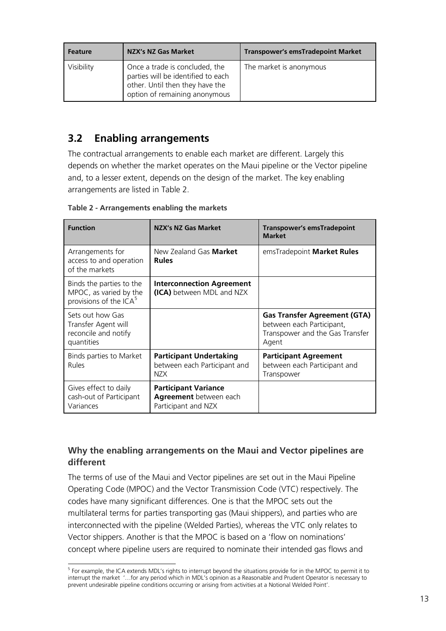| <b>Feature</b> | NZX's NZ Gas Market                                                                                                                      | <b>Transpower's emsTradepoint Market</b> |
|----------------|------------------------------------------------------------------------------------------------------------------------------------------|------------------------------------------|
| Visibility     | Once a trade is concluded, the<br>parties will be identified to each<br>other. Until then they have the<br>option of remaining anonymous | The market is anonymous                  |

#### **3.2 Enabling arrangements**

The contractual arrangements to enable each market are different. Largely this depends on whether the market operates on the Maui pipeline or the Vector pipeline and, to a lesser extent, depends on the design of the market. The key enabling arrangements are listed in [Table 2.](#page-16-0)

| <b>Function</b>                                                                | <b>NZX's NZ Gas Market</b>                                                   | Transpower's emsTradepoint<br><b>Market</b>                                                                  |
|--------------------------------------------------------------------------------|------------------------------------------------------------------------------|--------------------------------------------------------------------------------------------------------------|
| Arrangements for<br>access to and operation<br>of the markets                  | New Zealand Gas <b>Market</b><br><b>Rules</b>                                | emsTradepoint Market Rules                                                                                   |
| Binds the parties to the<br>MPOC, as varied by the<br>provisions of the $ICA5$ | <b>Interconnection Agreement</b><br>(ICA) between MDL and NZX                |                                                                                                              |
| Sets out how Gas<br>Transfer Agent will<br>reconcile and notify<br>quantities  |                                                                              | <b>Gas Transfer Agreement (GTA)</b><br>between each Participant,<br>Transpower and the Gas Transfer<br>Agent |
| Binds parties to Market<br><b>Rules</b>                                        | <b>Participant Undertaking</b><br>between each Participant and<br>N7X        | <b>Participant Agreement</b><br>between each Participant and<br>Transpower                                   |
| Gives effect to daily<br>cash-out of Participant<br>Variances                  | <b>Participant Variance</b><br>Agreement between each<br>Participant and NZX |                                                                                                              |

<span id="page-16-0"></span>**Table 2 - Arrangements enabling the markets**

#### **Why the enabling arrangements on the Maui and Vector pipelines are different**

The terms of use of the Maui and Vector pipelines are set out in the Maui Pipeline Operating Code (MPOC) and the Vector Transmission Code (VTC) respectively. The codes have many significant differences. One is that the MPOC sets out the multilateral terms for parties transporting gas (Maui shippers), and parties who are interconnected with the pipeline (Welded Parties), whereas the VTC only relates to Vector shippers. Another is that the MPOC is based on a 'flow on nominations' concept where pipeline users are required to nominate their intended gas flows and

 5 For example, the ICA extends MDL's rights to interrupt beyond the situations provide for in the MPOC to permit it to interrupt the market '…for any period which in MDL's opinion as a Reasonable and Prudent Operator is necessary to prevent undesirable pipeline conditions occurring or arising from activities at a Notional Welded Point'.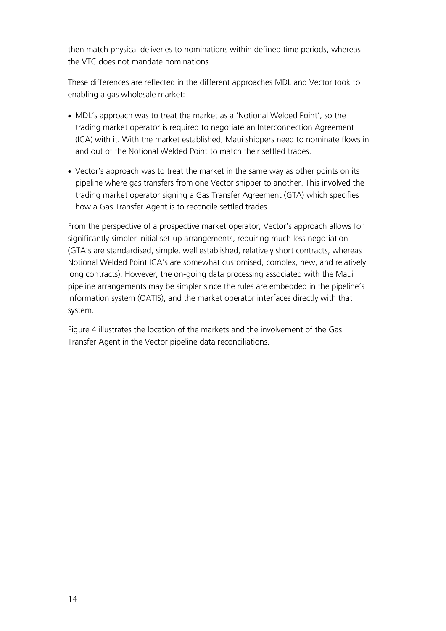then match physical deliveries to nominations within defined time periods, whereas the VTC does not mandate nominations.

These differences are reflected in the different approaches MDL and Vector took to enabling a gas wholesale market:

- MDL's approach was to treat the market as a 'Notional Welded Point', so the trading market operator is required to negotiate an Interconnection Agreement (ICA) with it. With the market established, Maui shippers need to nominate flows in and out of the Notional Welded Point to match their settled trades.
- Vector's approach was to treat the market in the same way as other points on its pipeline where gas transfers from one Vector shipper to another. This involved the trading market operator signing a Gas Transfer Agreement (GTA) which specifies how a Gas Transfer Agent is to reconcile settled trades.

From the perspective of a prospective market operator, Vector's approach allows for significantly simpler initial set-up arrangements, requiring much less negotiation (GTA's are standardised, simple, well established, relatively short contracts, whereas Notional Welded Point ICA's are somewhat customised, complex, new, and relatively long contracts). However, the on-going data processing associated with the Maui pipeline arrangements may be simpler since the rules are embedded in the pipeline's information system (OATIS), and the market operator interfaces directly with that system.

[Figure 4](#page-18-0) illustrates the location of the markets and the involvement of the Gas Transfer Agent in the Vector pipeline data reconciliations.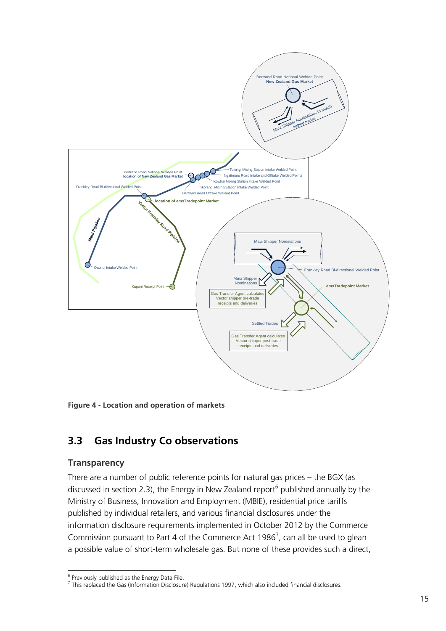

<span id="page-18-0"></span>**Figure 4 - Location and operation of markets**

#### **3.3 Gas Industry Co observations**

#### **Transparency**

There are a number of public reference points for natural gas prices – the BGX (as discussed in section 2.3), the Energy in New Zealand report<sup>6</sup> published annually by the Ministry of Business, Innovation and Employment (MBIE), residential price tariffs published by individual retailers, and various financial disclosures under the information disclosure requirements implemented in October 2012 by the Commerce Commission pursuant to Part 4 of the Commerce Act 1986<sup>7</sup>, can all be used to glean a possible value of short-term wholesale gas. But none of these provides such a direct,

 6 Previously published as the Energy Data File.

<sup>&</sup>lt;sup>7</sup> This replaced the Gas (Information Disclosure) Regulations 1997, which also included financial disclosures.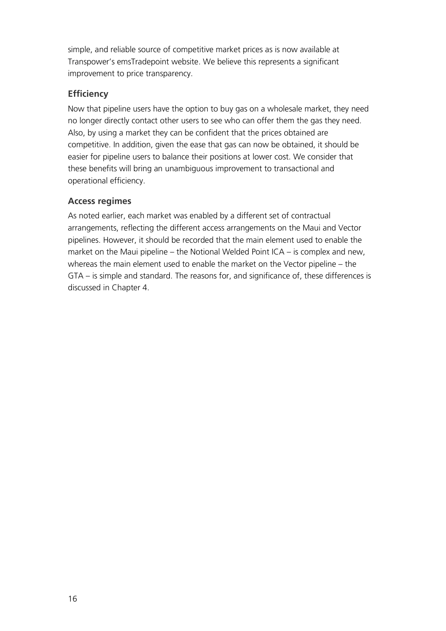simple, and reliable source of competitive market prices as is now available at Transpower's emsTradepoint website. We believe this represents a significant improvement to price transparency.

#### **Efficiency**

Now that pipeline users have the option to buy gas on a wholesale market, they need no longer directly contact other users to see who can offer them the gas they need. Also, by using a market they can be confident that the prices obtained are competitive. In addition, given the ease that gas can now be obtained, it should be easier for pipeline users to balance their positions at lower cost. We consider that these benefits will bring an unambiguous improvement to transactional and operational efficiency.

#### **Access regimes**

As noted earlier, each market was enabled by a different set of contractual arrangements, reflecting the different access arrangements on the Maui and Vector pipelines. However, it should be recorded that the main element used to enable the market on the Maui pipeline – the Notional Welded Point ICA – is complex and new, whereas the main element used to enable the market on the Vector pipeline – the GTA – is simple and standard. The reasons for, and significance of, these differences is discussed in Chapter 4.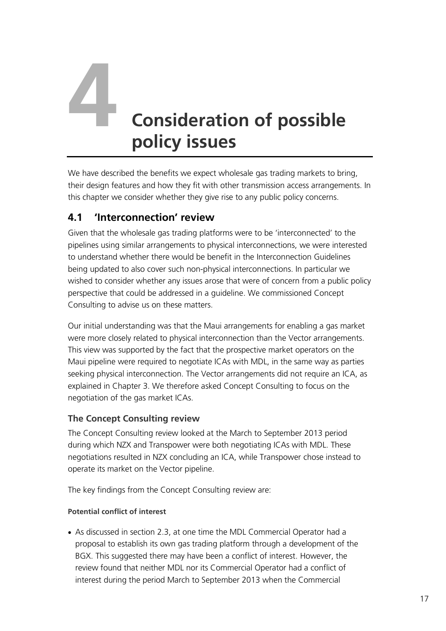# **4 Consideration of possible policy issues**

We have described the benefits we expect wholesale gas trading markets to bring, their design features and how they fit with other transmission access arrangements. In this chapter we consider whether they give rise to any public policy concerns.

#### **4.1 'Interconnection' review**

Given that the wholesale gas trading platforms were to be 'interconnected' to the pipelines using similar arrangements to physical interconnections, we were interested to understand whether there would be benefit in the Interconnection Guidelines being updated to also cover such non-physical interconnections. In particular we wished to consider whether any issues arose that were of concern from a public policy perspective that could be addressed in a guideline. We commissioned Concept Consulting to advise us on these matters.

Our initial understanding was that the Maui arrangements for enabling a gas market were more closely related to physical interconnection than the Vector arrangements. This view was supported by the fact that the prospective market operators on the Maui pipeline were required to negotiate ICAs with MDL, in the same way as parties seeking physical interconnection. The Vector arrangements did not require an ICA, as explained in Chapter 3. We therefore asked Concept Consulting to focus on the negotiation of the gas market ICAs.

#### **The Concept Consulting review**

The Concept Consulting review looked at the March to September 2013 period during which NZX and Transpower were both negotiating ICAs with MDL. These negotiations resulted in NZX concluding an ICA, while Transpower chose instead to operate its market on the Vector pipeline.

The key findings from the Concept Consulting review are:

#### **Potential conflict of interest**

 As discussed in section [2.3,](#page-10-0) at one time the MDL Commercial Operator had a proposal to establish its own gas trading platform through a development of the BGX. This suggested there may have been a conflict of interest. However, the review found that neither MDL nor its Commercial Operator had a conflict of interest during the period March to September 2013 when the Commercial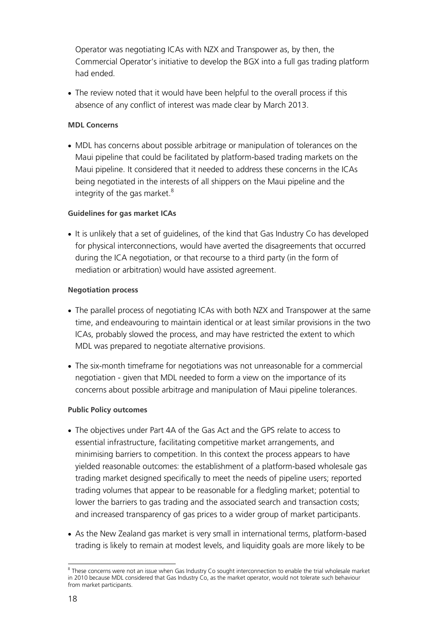Operator was negotiating ICAs with NZX and Transpower as, by then, the Commercial Operator's initiative to develop the BGX into a full gas trading platform had ended.

 The review noted that it would have been helpful to the overall process if this absence of any conflict of interest was made clear by March 2013.

#### **MDL Concerns**

 MDL has concerns about possible arbitrage or manipulation of tolerances on the Maui pipeline that could be facilitated by platform-based trading markets on the Maui pipeline. It considered that it needed to address these concerns in the ICAs being negotiated in the interests of all shippers on the Maui pipeline and the integrity of the gas market. $8$ 

#### **Guidelines for gas market ICAs**

 It is unlikely that a set of guidelines, of the kind that Gas Industry Co has developed for physical interconnections, would have averted the disagreements that occurred during the ICA negotiation, or that recourse to a third party (in the form of mediation or arbitration) would have assisted agreement.

#### **Negotiation process**

- The parallel process of negotiating ICAs with both NZX and Transpower at the same time, and endeavouring to maintain identical or at least similar provisions in the two ICAs, probably slowed the process, and may have restricted the extent to which MDL was prepared to negotiate alternative provisions.
- The six-month timeframe for negotiations was not unreasonable for a commercial negotiation - given that MDL needed to form a view on the importance of its concerns about possible arbitrage and manipulation of Maui pipeline tolerances.

#### **Public Policy outcomes**

- The objectives under Part 4A of the Gas Act and the GPS relate to access to essential infrastructure, facilitating competitive market arrangements, and minimising barriers to competition. In this context the process appears to have yielded reasonable outcomes: the establishment of a platform-based wholesale gas trading market designed specifically to meet the needs of pipeline users; reported trading volumes that appear to be reasonable for a fledgling market; potential to lower the barriers to gas trading and the associated search and transaction costs; and increased transparency of gas prices to a wider group of market participants.
- As the New Zealand gas market is very small in international terms, platform-based trading is likely to remain at modest levels, and liquidity goals are more likely to be

<sup>1</sup> <sup>8</sup> These concerns were not an issue when Gas Industry Co sought interconnection to enable the trial wholesale market in 2010 because MDL considered that Gas Industry Co, as the market operator, would not tolerate such behaviour from market participants.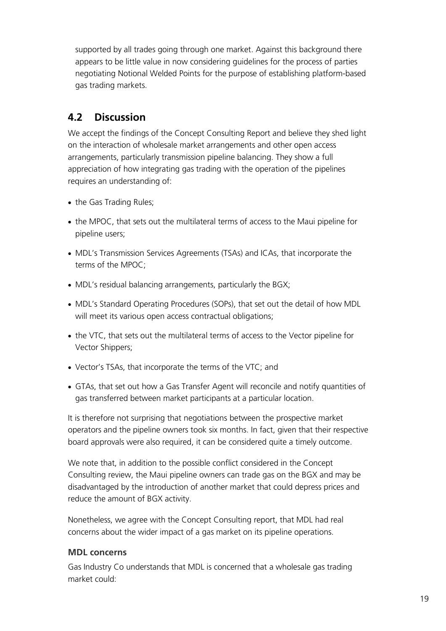supported by all trades going through one market. Against this background there appears to be little value in now considering guidelines for the process of parties negotiating Notional Welded Points for the purpose of establishing platform-based gas trading markets.

#### **4.2 Discussion**

We accept the findings of the Concept Consulting Report and believe they shed light on the interaction of wholesale market arrangements and other open access arrangements, particularly transmission pipeline balancing. They show a full appreciation of how integrating gas trading with the operation of the pipelines requires an understanding of:

- the Gas Trading Rules;
- the MPOC, that sets out the multilateral terms of access to the Maui pipeline for pipeline users;
- MDL's Transmission Services Agreements (TSAs) and ICAs, that incorporate the terms of the MPOC;
- MDL's residual balancing arrangements, particularly the BGX;
- MDL's Standard Operating Procedures (SOPs), that set out the detail of how MDL will meet its various open access contractual obligations;
- the VTC, that sets out the multilateral terms of access to the Vector pipeline for Vector Shippers;
- Vector's TSAs, that incorporate the terms of the VTC; and
- GTAs, that set out how a Gas Transfer Agent will reconcile and notify quantities of gas transferred between market participants at a particular location.

It is therefore not surprising that negotiations between the prospective market operators and the pipeline owners took six months. In fact, given that their respective board approvals were also required, it can be considered quite a timely outcome.

We note that, in addition to the possible conflict considered in the Concept Consulting review, the Maui pipeline owners can trade gas on the BGX and may be disadvantaged by the introduction of another market that could depress prices and reduce the amount of BGX activity.

Nonetheless, we agree with the Concept Consulting report, that MDL had real concerns about the wider impact of a gas market on its pipeline operations.

#### **MDL concerns**

Gas Industry Co understands that MDL is concerned that a wholesale gas trading market could: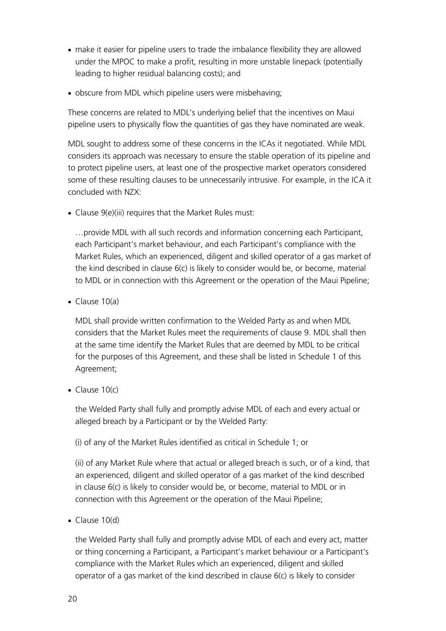- make it easier for pipeline users to trade the imbalance flexibility they are allowed under the MPOC to make a profit, resulting in more unstable linepack (potentially leading to higher residual balancing costs); and
- obscure from MDL which pipeline users were misbehaving;

These concerns are related to MDL's underlying belief that the incentives on Maui pipeline users to physically flow the quantities of gas they have nominated are weak.

MDL sought to address some of these concerns in the ICAs it negotiated. While MDL considers its approach was necessary to ensure the stable operation of its pipeline and to protect pipeline users, at least one of the prospective market operators considered some of these resulting clauses to be unnecessarily intrusive. For example, in the ICA it concluded with NZX:

• Clause 9(e)(iii) requires that the Market Rules must:

…provide MDL with all such records and information concerning each Participant, each Participant's market behaviour, and each Participant's compliance with the Market Rules, which an experienced, diligent and skilled operator of a gas market of the kind described in clause 6(c) is likely to consider would be, or become, material to MDL or in connection with this Agreement or the operation of the Maui Pipeline;

• Clause 10(a)

MDL shall provide written confirmation to the Welded Party as and when MDL considers that the Market Rules meet the requirements of clause 9. MDL shall then at the same time identify the Market Rules that are deemed by MDL to be critical for the purposes of this Agreement, and these shall be listed in Schedule 1 of this Agreement;

 $\bullet$  Clause 10(c)

the Welded Party shall fully and promptly advise MDL of each and every actual or alleged breach by a Participant or by the Welded Party:

(i) of any of the Market Rules identified as critical in Schedule 1; or

(ii) of any Market Rule where that actual or alleged breach is such, or of a kind, that an experienced, diligent and skilled operator of a gas market of the kind described in clause 6(c) is likely to consider would be, or become, material to MDL or in connection with this Agreement or the operation of the Maui Pipeline;

 $\bullet$  Clause 10(d)

the Welded Party shall fully and promptly advise MDL of each and every act, matter or thing concerning a Participant, a Participant's market behaviour or a Participant's compliance with the Market Rules which an experienced, diligent and skilled operator of a gas market of the kind described in clause  $6(c)$  is likely to consider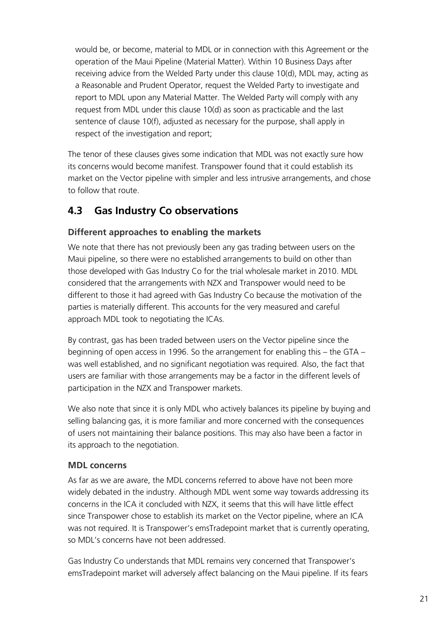would be, or become, material to MDL or in connection with this Agreement or the operation of the Maui Pipeline (Material Matter). Within 10 Business Days after receiving advice from the Welded Party under this clause 10(d), MDL may, acting as a Reasonable and Prudent Operator, request the Welded Party to investigate and report to MDL upon any Material Matter. The Welded Party will comply with any request from MDL under this clause 10(d) as soon as practicable and the last sentence of clause 10(f), adjusted as necessary for the purpose, shall apply in respect of the investigation and report;

The tenor of these clauses gives some indication that MDL was not exactly sure how its concerns would become manifest. Transpower found that it could establish its market on the Vector pipeline with simpler and less intrusive arrangements, and chose to follow that route.

#### **4.3 Gas Industry Co observations**

#### **Different approaches to enabling the markets**

We note that there has not previously been any gas trading between users on the Maui pipeline, so there were no established arrangements to build on other than those developed with Gas Industry Co for the trial wholesale market in 2010. MDL considered that the arrangements with NZX and Transpower would need to be different to those it had agreed with Gas Industry Co because the motivation of the parties is materially different. This accounts for the very measured and careful approach MDL took to negotiating the ICAs.

By contrast, gas has been traded between users on the Vector pipeline since the beginning of open access in 1996. So the arrangement for enabling this – the GTA – was well established, and no significant negotiation was required. Also, the fact that users are familiar with those arrangements may be a factor in the different levels of participation in the NZX and Transpower markets.

We also note that since it is only MDL who actively balances its pipeline by buying and selling balancing gas, it is more familiar and more concerned with the consequences of users not maintaining their balance positions. This may also have been a factor in its approach to the negotiation.

#### **MDL concerns**

As far as we are aware, the MDL concerns referred to above have not been more widely debated in the industry. Although MDL went some way towards addressing its concerns in the ICA it concluded with NZX, it seems that this will have little effect since Transpower chose to establish its market on the Vector pipeline, where an ICA was not required. It is Transpower's emsTradepoint market that is currently operating, so MDL's concerns have not been addressed.

Gas Industry Co understands that MDL remains very concerned that Transpower's emsTradepoint market will adversely affect balancing on the Maui pipeline. If its fears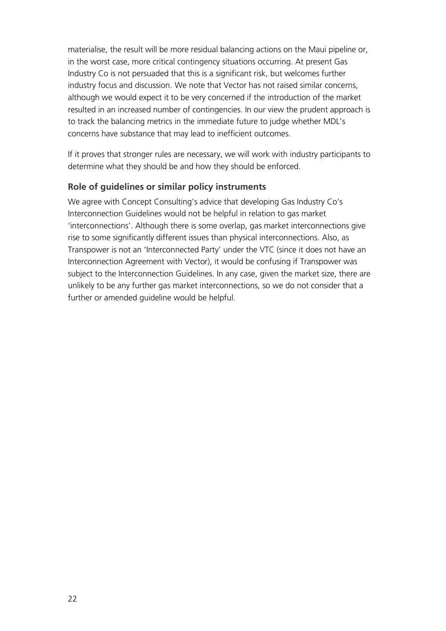materialise, the result will be more residual balancing actions on the Maui pipeline or, in the worst case, more critical contingency situations occurring. At present Gas Industry Co is not persuaded that this is a significant risk, but welcomes further industry focus and discussion. We note that Vector has not raised similar concerns, although we would expect it to be very concerned if the introduction of the market resulted in an increased number of contingencies. In our view the prudent approach is to track the balancing metrics in the immediate future to judge whether MDL's concerns have substance that may lead to inefficient outcomes.

If it proves that stronger rules are necessary, we will work with industry participants to determine what they should be and how they should be enforced.

#### **Role of guidelines or similar policy instruments**

We agree with Concept Consulting's advice that developing Gas Industry Co's Interconnection Guidelines would not be helpful in relation to gas market 'interconnections'. Although there is some overlap, gas market interconnections give rise to some significantly different issues than physical interconnections. Also, as Transpower is not an 'Interconnected Party' under the VTC (since it does not have an Interconnection Agreement with Vector), it would be confusing if Transpower was subject to the Interconnection Guidelines. In any case, given the market size, there are unlikely to be any further gas market interconnections, so we do not consider that a further or amended guideline would be helpful.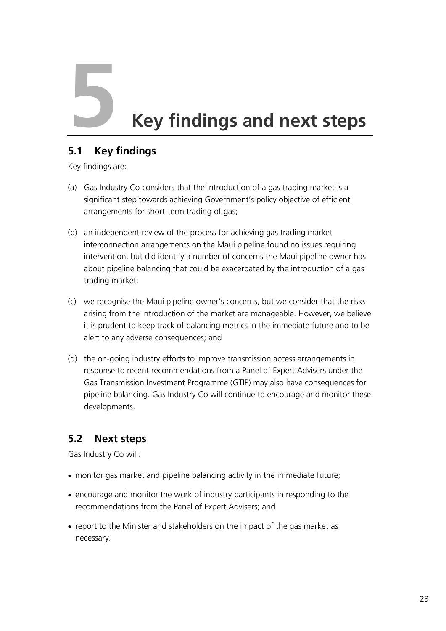**Key findings and next steps**<br>5.1 Key findings

#### **5.1 Key findings**

Key findings are:

- (a) Gas Industry Co considers that the introduction of a gas trading market is a significant step towards achieving Government's policy objective of efficient arrangements for short-term trading of gas;
- (b) an independent review of the process for achieving gas trading market interconnection arrangements on the Maui pipeline found no issues requiring intervention, but did identify a number of concerns the Maui pipeline owner has about pipeline balancing that could be exacerbated by the introduction of a gas trading market;
- (c) we recognise the Maui pipeline owner's concerns, but we consider that the risks arising from the introduction of the market are manageable. However, we believe it is prudent to keep track of balancing metrics in the immediate future and to be alert to any adverse consequences; and
- (d) the on-going industry efforts to improve transmission access arrangements in response to recent recommendations from a Panel of Expert Advisers under the Gas Transmission Investment Programme (GTIP) may also have consequences for pipeline balancing. Gas Industry Co will continue to encourage and monitor these developments.

#### **5.2 Next steps**

Gas Industry Co will:

- monitor gas market and pipeline balancing activity in the immediate future;
- encourage and monitor the work of industry participants in responding to the recommendations from the Panel of Expert Advisers; and
- report to the Minister and stakeholders on the impact of the gas market as necessary.